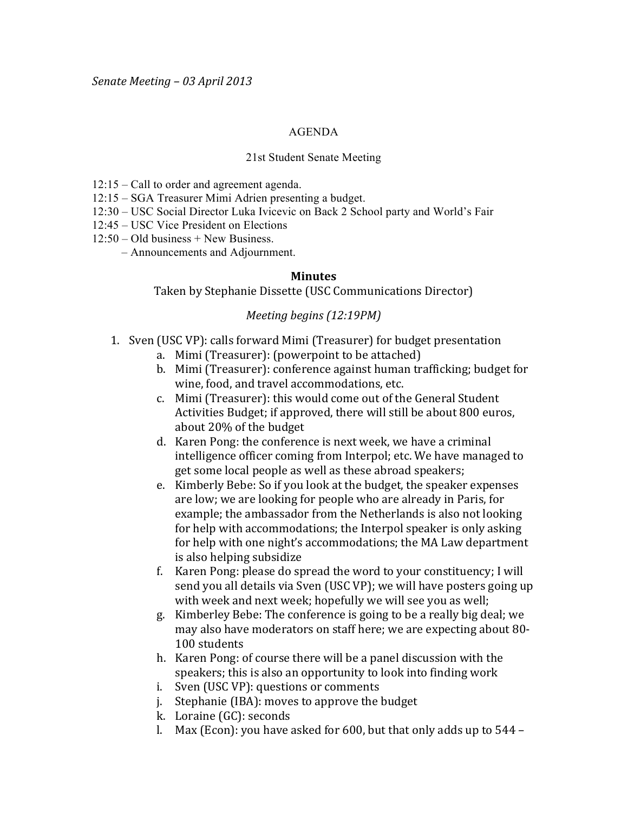## AGENDA

## 21st Student Senate Meeting

- 12:15 Call to order and agreement agenda.
- 12:15 SGA Treasurer Mimi Adrien presenting a budget.
- 12:30 USC Social Director Luka Ivicevic on Back 2 School party and World's Fair
- 12:45 USC Vice President on Elections
- $12:50 Old business + New Business$ .
	- Announcements and Adjournment.

## **Minutes**

Taken by Stephanie Dissette (USC Communications Director)

## *Meeting begins (12:19PM)*

- 1. Sven (USC VP): calls forward Mimi (Treasurer) for budget presentation
	- a. Mimi (Treasurer): (powerpoint to be attached)
	- b. Mimi (Treasurer): conference against human trafficking; budget for wine, food, and travel accommodations, etc.
	- c. Mimi (Treasurer): this would come out of the General Student Activities Budget; if approved, there will still be about 800 euros, about 20% of the budget
	- d. Karen Pong: the conference is next week, we have a criminal intelligence officer coming from Interpol; etc. We have managed to get some local people as well as these abroad speakers;
	- e. Kimberly Bebe: So if you look at the budget, the speaker expenses are low; we are looking for people who are already in Paris, for example; the ambassador from the Netherlands is also not looking for help with accommodations; the Interpol speaker is only asking for help with one night's accommodations; the MA Law department is also helping subsidize
	- f. Karen Pong: please do spread the word to your constituency; I will send you all details via Sven (USC VP); we will have posters going up with week and next week; hopefully we will see you as well;
	- g. Kimberley Bebe: The conference is going to be a really big deal; we may also have moderators on staff here; we are expecting about 80-100 students
	- h. Karen Pong: of course there will be a panel discussion with the speakers; this is also an opportunity to look into finding work
	- i. Sven (USC VP): questions or comments
	- $i.$  Stephanie (IBA): moves to approve the budget
	- k. Loraine (GC): seconds
	- l. Max (Econ): you have asked for 600, but that only adds up to  $544$  –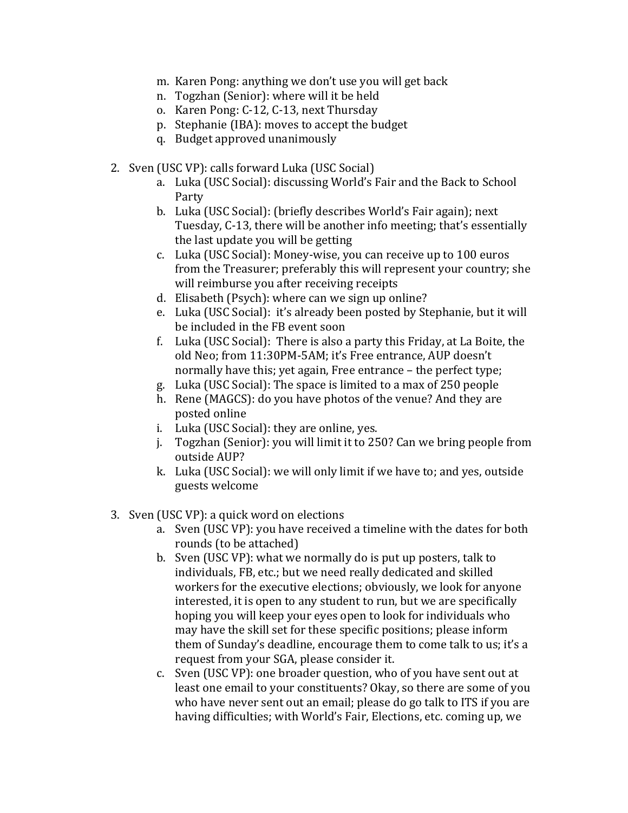- m. Karen Pong: anything we don't use you will get back
- n. Togzhan (Senior): where will it be held
- o. Karen Pong: C-12, C-13, next Thursday
- p. Stephanie (IBA): moves to accept the budget
- q. Budget approved unanimously
- 2. Sven (USC VP): calls forward Luka (USC Social)
	- a. Luka (USC Social): discussing World's Fair and the Back to School Party
	- b. Luka (USC Social): (briefly describes World's Fair again); next Tuesday, C-13, there will be another info meeting; that's essentially the last update you will be getting
	- c. Luka (USC Social): Money-wise, you can receive up to 100 euros from the Treasurer; preferably this will represent your country; she will reimburse you after receiving receipts
	- d. Elisabeth (Psych): where can we sign up online?
	- e. Luka (USC Social): it's already been posted by Stephanie, but it will be included in the FB event soon
	- f. Luka (USC Social): There is also a party this Friday, at La Boite, the old Neo; from 11:30PM-5AM; it's Free entrance, AUP doesn't normally have this; yet again, Free entrance – the perfect type;
	- g. Luka (USC Social): The space is limited to a max of 250 people
	- h. Rene (MAGCS): do you have photos of the venue? And they are posted online
	- i. Luka (USC Social): they are online, yes.
	- j. Togzhan (Senior): you will limit it to 250? Can we bring people from outside AUP?
	- k. Luka (USC Social): we will only limit if we have to; and yes, outside guests welcome
- 3. Sven (USC VP): a quick word on elections
	- a. Sven (USC VP): you have received a timeline with the dates for both rounds (to be attached)
	- b. Sven (USC VP): what we normally do is put up posters, talk to individuals, FB, etc.; but we need really dedicated and skilled workers for the executive elections; obviously, we look for anyone interested, it is open to any student to run, but we are specifically hoping you will keep your eyes open to look for individuals who may have the skill set for these specific positions; please inform them of Sunday's deadline, encourage them to come talk to us; it's a request from your SGA, please consider it.
	- c. Sven (USC VP): one broader question, who of you have sent out at least one email to your constituents? Okay, so there are some of you who have never sent out an email; please do go talk to ITS if you are having difficulties; with World's Fair, Elections, etc. coming up, we